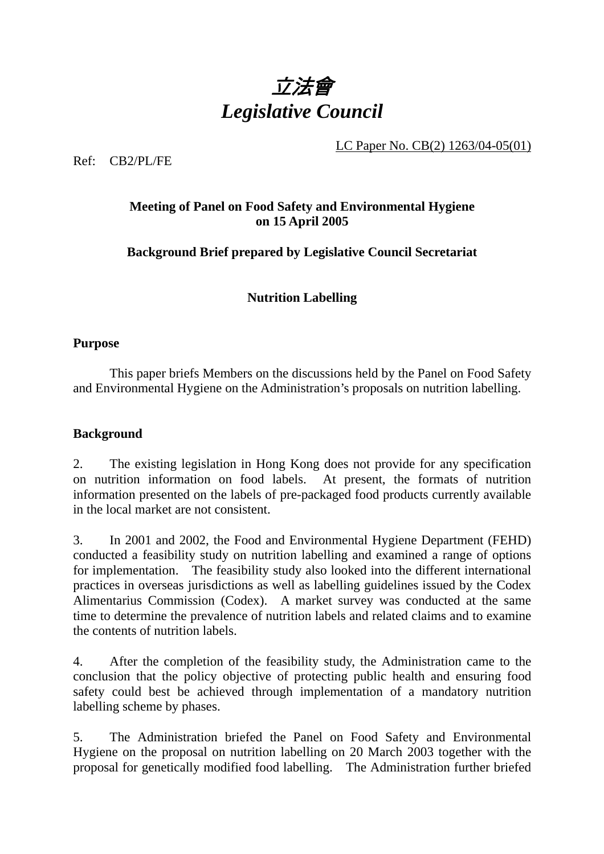

LC Paper No. CB(2) 1263/04-05(01)

Ref: CB2/PL/FE

# **Meeting of Panel on Food Safety and Environmental Hygiene on 15 April 2005**

## **Background Brief prepared by Legislative Council Secretariat**

**Nutrition Labelling** 

### **Purpose**

This paper briefs Members on the discussions held by the Panel on Food Safety and Environmental Hygiene on the Administration's proposals on nutrition labelling.

### **Background**

2. The existing legislation in Hong Kong does not provide for any specification on nutrition information on food labels. At present, the formats of nutrition information presented on the labels of pre-packaged food products currently available in the local market are not consistent.

3. In 2001 and 2002, the Food and Environmental Hygiene Department (FEHD) conducted a feasibility study on nutrition labelling and examined a range of options for implementation. The feasibility study also looked into the different international practices in overseas jurisdictions as well as labelling guidelines issued by the Codex Alimentarius Commission (Codex). A market survey was conducted at the same time to determine the prevalence of nutrition labels and related claims and to examine the contents of nutrition labels.

4. After the completion of the feasibility study, the Administration came to the conclusion that the policy objective of protecting public health and ensuring food safety could best be achieved through implementation of a mandatory nutrition labelling scheme by phases.

5. The Administration briefed the Panel on Food Safety and Environmental Hygiene on the proposal on nutrition labelling on 20 March 2003 together with the proposal for genetically modified food labelling. The Administration further briefed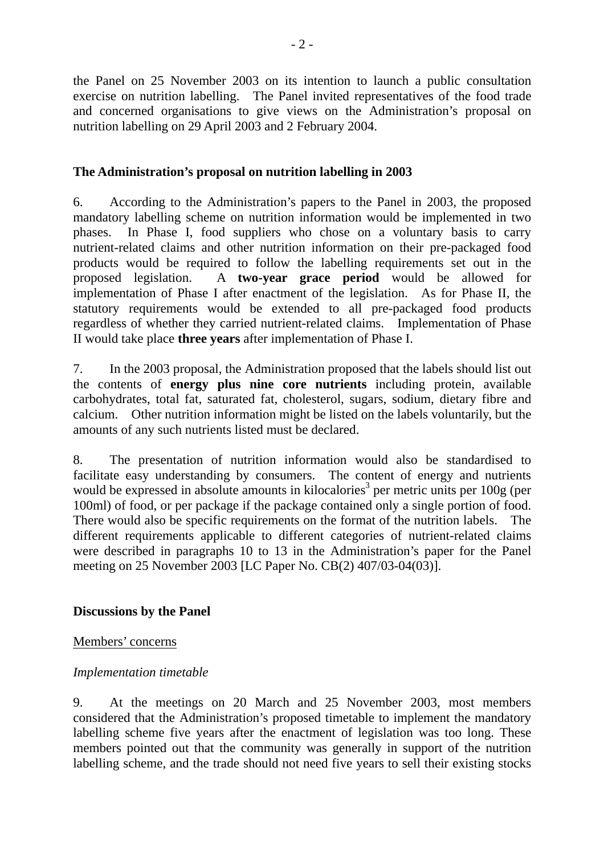the Panel on 25 November 2003 on its intention to launch a public consultation exercise on nutrition labelling. The Panel invited representatives of the food trade and concerned organisations to give views on the Administration's proposal on nutrition labelling on 29 April 2003 and 2 February 2004.

## **The Administration's proposal on nutrition labelling in 2003**

6. According to the Administration's papers to the Panel in 2003, the proposed mandatory labelling scheme on nutrition information would be implemented in two phases. In Phase I, food suppliers who chose on a voluntary basis to carry nutrient-related claims and other nutrition information on their pre-packaged food products would be required to follow the labelling requirements set out in the proposed legislation. A **two-year grace period** would be allowed for implementation of Phase I after enactment of the legislation. As for Phase II, the statutory requirements would be extended to all pre-packaged food products regardless of whether they carried nutrient-related claims. Implementation of Phase II would take place **three years** after implementation of Phase I.

7. In the 2003 proposal, the Administration proposed that the labels should list out the contents of **energy plus nine core nutrients** including protein, available carbohydrates, total fat, saturated fat, cholesterol, sugars, sodium, dietary fibre and calcium. Other nutrition information might be listed on the labels voluntarily, but the amounts of any such nutrients listed must be declared.

8. The presentation of nutrition information would also be standardised to facilitate easy understanding by consumers. The content of energy and nutrients would be expressed in absolute amounts in kilocalories<sup>3</sup> per metric units per  $100g$  (per 100ml) of food, or per package if the package contained only a single portion of food. There would also be specific requirements on the format of the nutrition labels. The different requirements applicable to different categories of nutrient-related claims were described in paragraphs 10 to 13 in the Administration's paper for the Panel meeting on 25 November 2003 [LC Paper No. CB(2) 407/03-04(03)].

### **Discussions by the Panel**

Members' concerns

# *Implementation timetable*

9. At the meetings on 20 March and 25 November 2003, most members considered that the Administration's proposed timetable to implement the mandatory labelling scheme five years after the enactment of legislation was too long. These members pointed out that the community was generally in support of the nutrition labelling scheme, and the trade should not need five years to sell their existing stocks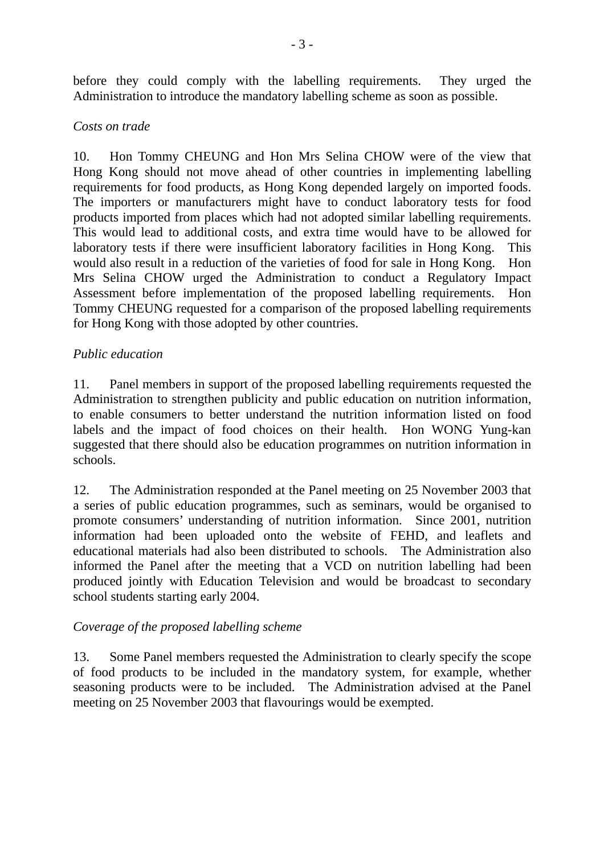before they could comply with the labelling requirements. They urged the Administration to introduce the mandatory labelling scheme as soon as possible.

### *Costs on trade*

10. Hon Tommy CHEUNG and Hon Mrs Selina CHOW were of the view that Hong Kong should not move ahead of other countries in implementing labelling requirements for food products, as Hong Kong depended largely on imported foods. The importers or manufacturers might have to conduct laboratory tests for food products imported from places which had not adopted similar labelling requirements. This would lead to additional costs, and extra time would have to be allowed for laboratory tests if there were insufficient laboratory facilities in Hong Kong. This would also result in a reduction of the varieties of food for sale in Hong Kong. Hon Mrs Selina CHOW urged the Administration to conduct a Regulatory Impact Assessment before implementation of the proposed labelling requirements. Hon Tommy CHEUNG requested for a comparison of the proposed labelling requirements for Hong Kong with those adopted by other countries.

### *Public education*

11. Panel members in support of the proposed labelling requirements requested the Administration to strengthen publicity and public education on nutrition information, to enable consumers to better understand the nutrition information listed on food labels and the impact of food choices on their health. Hon WONG Yung-kan suggested that there should also be education programmes on nutrition information in schools.

12. The Administration responded at the Panel meeting on 25 November 2003 that a series of public education programmes, such as seminars, would be organised to promote consumers' understanding of nutrition information. Since 2001, nutrition information had been uploaded onto the website of FEHD, and leaflets and educational materials had also been distributed to schools. The Administration also informed the Panel after the meeting that a VCD on nutrition labelling had been produced jointly with Education Television and would be broadcast to secondary school students starting early 2004.

### *Coverage of the proposed labelling scheme*

13. Some Panel members requested the Administration to clearly specify the scope of food products to be included in the mandatory system, for example, whether seasoning products were to be included. The Administration advised at the Panel meeting on 25 November 2003 that flavourings would be exempted.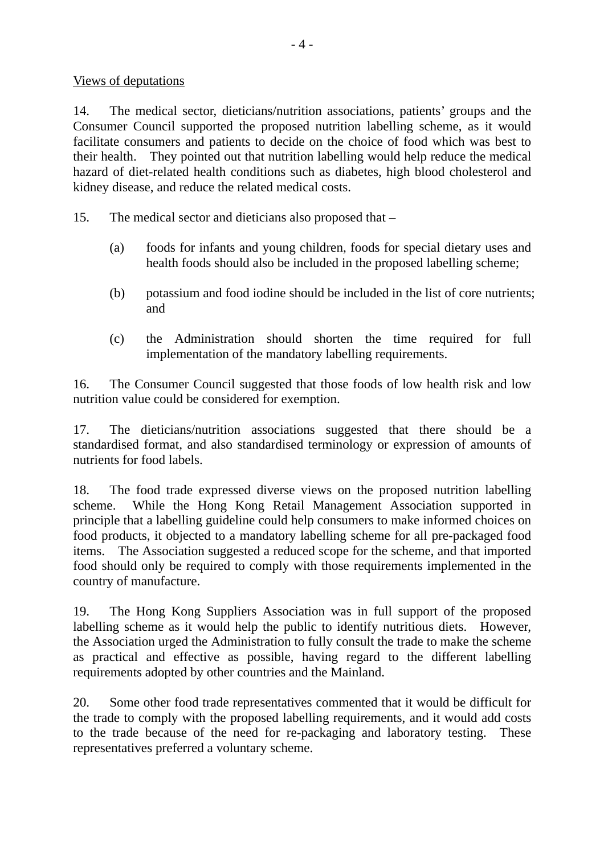#### Views of deputations

14. The medical sector, dieticians/nutrition associations, patients' groups and the Consumer Council supported the proposed nutrition labelling scheme, as it would facilitate consumers and patients to decide on the choice of food which was best to their health. They pointed out that nutrition labelling would help reduce the medical hazard of diet-related health conditions such as diabetes, high blood cholesterol and kidney disease, and reduce the related medical costs.

15. The medical sector and dieticians also proposed that –

- (a) foods for infants and young children, foods for special dietary uses and health foods should also be included in the proposed labelling scheme;
- (b) potassium and food iodine should be included in the list of core nutrients; and
- (c) the Administration should shorten the time required for full implementation of the mandatory labelling requirements.

16. The Consumer Council suggested that those foods of low health risk and low nutrition value could be considered for exemption.

17. The dieticians/nutrition associations suggested that there should be a standardised format, and also standardised terminology or expression of amounts of nutrients for food labels.

18. The food trade expressed diverse views on the proposed nutrition labelling scheme. While the Hong Kong Retail Management Association supported in principle that a labelling guideline could help consumers to make informed choices on food products, it objected to a mandatory labelling scheme for all pre-packaged food items. The Association suggested a reduced scope for the scheme, and that imported food should only be required to comply with those requirements implemented in the country of manufacture.

19. The Hong Kong Suppliers Association was in full support of the proposed labelling scheme as it would help the public to identify nutritious diets. However, the Association urged the Administration to fully consult the trade to make the scheme as practical and effective as possible, having regard to the different labelling requirements adopted by other countries and the Mainland.

20. Some other food trade representatives commented that it would be difficult for the trade to comply with the proposed labelling requirements, and it would add costs to the trade because of the need for re-packaging and laboratory testing. These representatives preferred a voluntary scheme.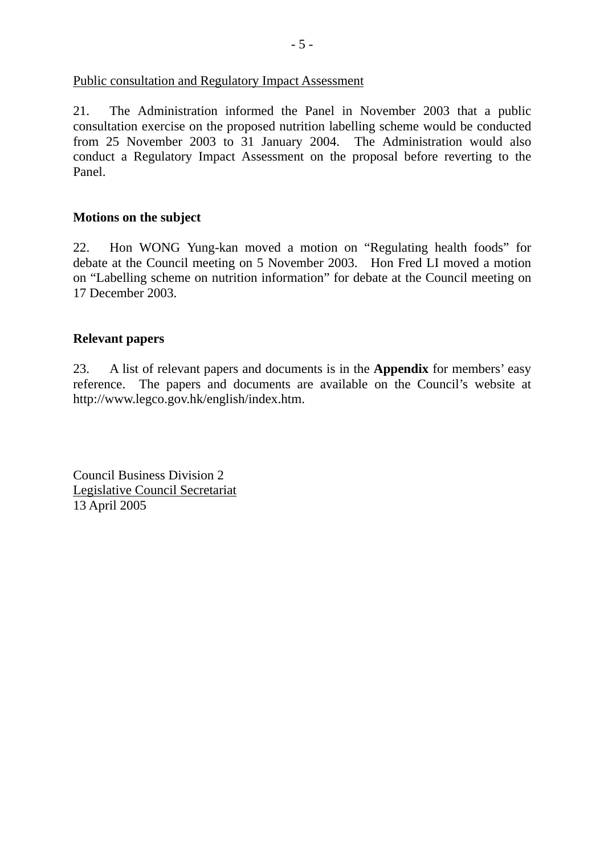#### Public consultation and Regulatory Impact Assessment

21. The Administration informed the Panel in November 2003 that a public consultation exercise on the proposed nutrition labelling scheme would be conducted from 25 November 2003 to 31 January 2004. The Administration would also conduct a Regulatory Impact Assessment on the proposal before reverting to the Panel.

#### **Motions on the subject**

22. Hon WONG Yung-kan moved a motion on "Regulating health foods" for debate at the Council meeting on 5 November 2003. Hon Fred LI moved a motion on "Labelling scheme on nutrition information" for debate at the Council meeting on 17 December 2003.

#### **Relevant papers**

23. A list of relevant papers and documents is in the **Appendix** for members' easy reference. The papers and documents are available on the Council's website at http://www.legco.gov.hk/english/index.htm.

Council Business Division 2 Legislative Council Secretariat 13 April 2005